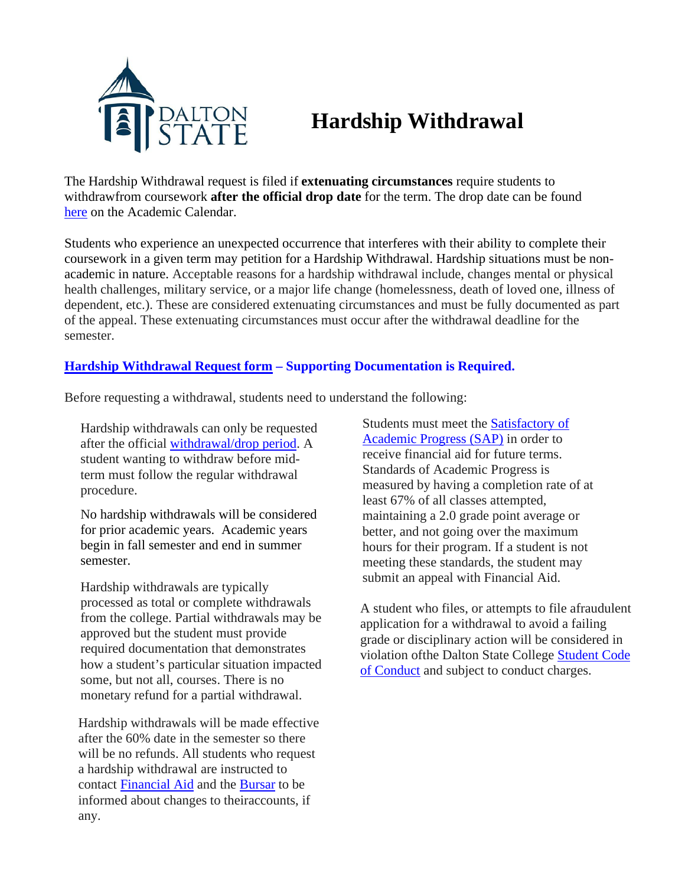

## **Hardship Withdrawal**

The Hardship Withdrawal request is filed if **extenuating circumstances** require students to withdrawfrom coursework **after the official drop date** for the term. The drop date can be found [here](https://www.daltonstate.edu/about/academic-calendar.cms) on the Academic Calendar.

Students who experience an unexpected occurrence that interferes with their ability to complete their coursework in a given term may petition for a Hardship Withdrawal. Hardship situations must be nonacademic in nature. Acceptable reasons for a hardship withdrawal include, changes mental or physical health challenges, military service, or a major life change (homelessness, death of loved one, illness of dependent, etc.). These are considered extenuating circumstances and must be fully documented as part of the appeal. These extenuating circumstances must occur after the withdrawal deadline for the semester.

## **Hardship [Withdrawal Request](https://cm.maxient.com/reportingform.php?DaltonStateCollege&layout_id=4) form – Supporting Documentation is Required.**

Before requesting a withdrawal, students need to understand the following:

Hardship withdrawals can only be requested after the official [withdrawal/drop period.](https://www.daltonstate.edu/about/academic-calendar.cms) A student wanting to withdraw before midterm must follow the regular withdrawal procedure.

No hardship withdrawals will be considered for prior academic years. Academic years begin in fall semester and end in summer semester.

Hardship withdrawals are typically processed as total or complete withdrawals from the college. Partial withdrawals may be approved but the student must provide required documentation that demonstrates how a student's particular situation impacted some, but not all, courses. There is no monetary refund for a partial withdrawal.

Hardship withdrawals will be made effective after the 60% date in the semester so there will be no refunds. All students who request a hardship withdrawal are instructed to contact Financial Aid and the [Bursar](https://www.daltonstate.edu/about/bursar-overview.cms) to be informed about changes to theiraccounts, if any.

Students must meet the [Satisfactory of](https://www.daltonstate.edu/admissions/student-aid-forms.cms) [Academic Progress \(SAP\)](https://www.daltonstate.edu/admissions/student-aid-forms.cms) in order to receive financial aid for future terms. Standards of Academic Progress is measured by having a completion rate of at least 67% of all classes attempted, maintaining a 2.0 grade point average or better, and not going over the maximum hours for their program. If a student is not meeting these standards, the student may submit an appeal with Financial Aid.

A student who files, or attempts to file afraudulent application for a withdrawal to avoid a failing grade or disciplinary action will be considered in violation ofthe Dalton State College [Student Code](https://www.daltonstate.edu/campus_life/student-conduct-about.cms) [of Conduct](https://www.daltonstate.edu/campus_life/student-conduct-about.cms) and subject to conduct charges.